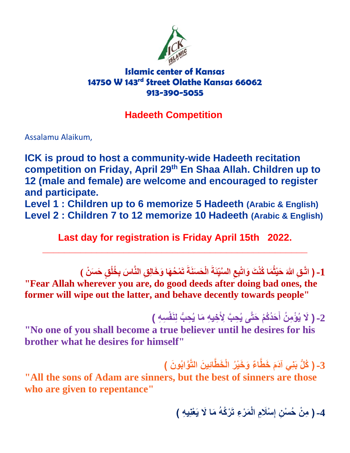

## **Islamic center of Kansas 14750 W 143rd Street Olathe Kansas 66062 913-390-5055**

## **Hadeeth Competition**

Assalamu Alaikum,

**ICK is proud to host a community-wide Hadeeth recitation En Shaa Allah. Children up to th competition on Friday, April 29 12 (male and female) are welcome and encouraged to register and participate.**

**Level 1 : Children up to 6 memorize 5 Hadeeth (Arabic & English) Level 2 : Children 7 to 12 memorize 10 Hadeeth (Arabic & English)**

**Last day for registration is Friday April 15th 2022.**

**\_\_\_\_\_\_\_\_\_\_\_\_\_\_\_\_\_\_\_\_\_\_\_\_\_\_\_\_\_\_\_\_\_\_\_\_\_\_\_\_\_\_\_\_\_\_\_\_\_**

1- ( اتَّـقِ اللهَ حَيْثُمَا كُنْتَ وَاتْبِعِ السَّيِّئَةَ الْحَسَنَةَ تَمْحُهَا وَخَالِقِ النَّاسَ بِخُلُقٍ حَسَنْ ) **ه "Fear Allah wherever you are, do good deeds after doing bad ones, the former will wipe out the latter, and behave decently towards people"**

> 2- ( لَا يُؤْمِنُ أَحَدُكُمْ حَتَّى يُحِبَّ لِأَخِيهِ مَا يُحِبُّ لِنَفْسِهِ ) **ُّ ه**

**"No one of you shall become a true believer until he desires for his brother what he desires for himself"**

3- ( كُلُّ بَنِّي آدَمَ خَطَّاءٌ وَخَيْرُ الْخَطَّائِينَ التَّوَّابُونَ )

**"All the sons of Adam are sinners, but the best of sinners are those who are given to repentance"**

**هما هَل يه ْعن ي هِ( ْر ُكهُ ل هم ْر ء ته ْسهل م اْ -4) م ْن ُح ْس ن إ**